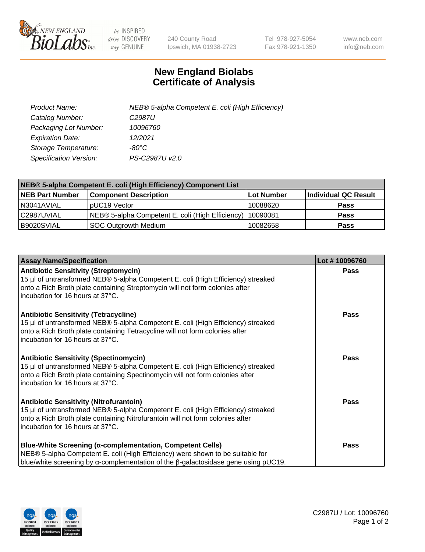

 $be$  INSPIRED drive DISCOVERY stay GENUINE

240 County Road Ipswich, MA 01938-2723 Tel 978-927-5054 Fax 978-921-1350 www.neb.com info@neb.com

## **New England Biolabs Certificate of Analysis**

| Product Name:                 | NEB® 5-alpha Competent E. coli (High Efficiency) |
|-------------------------------|--------------------------------------------------|
| Catalog Number:               | C <sub>2987</sub> U                              |
| Packaging Lot Number:         | 10096760                                         |
| <b>Expiration Date:</b>       | 12/2021                                          |
| Storage Temperature:          | -80°C                                            |
| <b>Specification Version:</b> | PS-C2987U v2.0                                   |

| NEB® 5-alpha Competent E. coli (High Efficiency) Component List |                                                  |            |                      |  |
|-----------------------------------------------------------------|--------------------------------------------------|------------|----------------------|--|
| <b>NEB Part Number</b>                                          | <b>Component Description</b>                     | Lot Number | Individual QC Result |  |
| N3041AVIAL                                                      | pUC19 Vector                                     | 10088620   | <b>Pass</b>          |  |
| C2987UVIAL                                                      | NEB® 5-alpha Competent E. coli (High Efficiency) | 10090081   | <b>Pass</b>          |  |
| B9020SVIAL                                                      | <b>SOC Outgrowth Medium</b>                      | 10082658   | <b>Pass</b>          |  |

| <b>Assay Name/Specification</b>                                                                                                                                                                                                                          | Lot #10096760 |
|----------------------------------------------------------------------------------------------------------------------------------------------------------------------------------------------------------------------------------------------------------|---------------|
| <b>Antibiotic Sensitivity (Streptomycin)</b><br>15 µl of untransformed NEB® 5-alpha Competent E. coli (High Efficiency) streaked<br>onto a Rich Broth plate containing Streptomycin will not form colonies after<br>incubation for 16 hours at 37°C.     | Pass          |
| <b>Antibiotic Sensitivity (Tetracycline)</b><br>15 µl of untransformed NEB® 5-alpha Competent E. coli (High Efficiency) streaked<br>onto a Rich Broth plate containing Tetracycline will not form colonies after<br>incubation for 16 hours at 37°C.     | <b>Pass</b>   |
| <b>Antibiotic Sensitivity (Spectinomycin)</b><br>15 µl of untransformed NEB® 5-alpha Competent E. coli (High Efficiency) streaked<br>onto a Rich Broth plate containing Spectinomycin will not form colonies after<br>incubation for 16 hours at 37°C.   | Pass          |
| <b>Antibiotic Sensitivity (Nitrofurantoin)</b><br>15 µl of untransformed NEB® 5-alpha Competent E. coli (High Efficiency) streaked<br>onto a Rich Broth plate containing Nitrofurantoin will not form colonies after<br>incubation for 16 hours at 37°C. | <b>Pass</b>   |
| <b>Blue-White Screening (α-complementation, Competent Cells)</b><br>NEB® 5-alpha Competent E. coli (High Efficiency) were shown to be suitable for<br>blue/white screening by $\alpha$ -complementation of the $\beta$ -galactosidase gene using pUC19.  | Pass          |